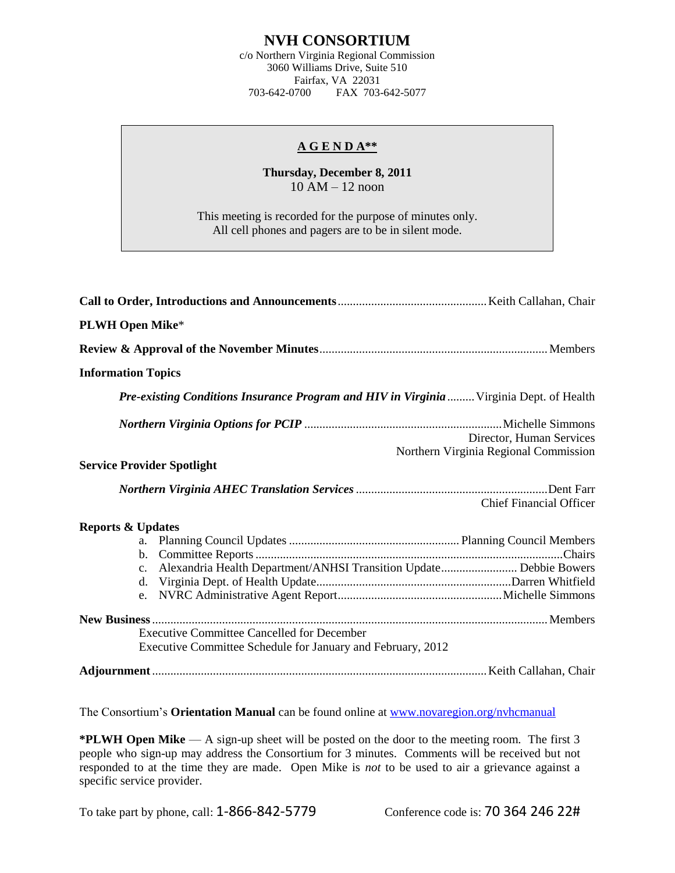## **NVH CONSORTIUM**

c/o Northern Virginia Regional Commission 3060 Williams Drive, Suite 510 Fairfax, VA 22031<br>703-642-0700 FAX 703-FAX 703-642-5077

## **A G E N D A\*\***

## **Thursday, December 8, 2011** 10 AM – 12 noon

This meeting is recorded for the purpose of minutes only. All cell phones and pagers are to be in silent mode.

| <b>PLWH Open Mike*</b>                                                                                           |                                                                   |
|------------------------------------------------------------------------------------------------------------------|-------------------------------------------------------------------|
|                                                                                                                  |                                                                   |
| <b>Information Topics</b>                                                                                        |                                                                   |
| Pre-existing Conditions Insurance Program and HIV in Virginia  Virginia Dept. of Health                          |                                                                   |
|                                                                                                                  | Director, Human Services<br>Northern Virginia Regional Commission |
| <b>Service Provider Spotlight</b>                                                                                |                                                                   |
|                                                                                                                  | <b>Chief Financial Officer</b>                                    |
| <b>Reports &amp; Updates</b>                                                                                     |                                                                   |
| c. Alexandria Health Department/ANHSI Transition Update Debbie Bowers                                            |                                                                   |
| <b>Executive Committee Cancelled for December</b><br>Executive Committee Schedule for January and February, 2012 |                                                                   |
|                                                                                                                  |                                                                   |

The Consortium's **Orientation Manual** can be found online at [www.novaregion.org/nvhcmanual](http://www.novaregion.org/nvhcmanual)

**\*PLWH Open Mike** — A sign-up sheet will be posted on the door to the meeting room. The first 3 people who sign-up may address the Consortium for 3 minutes. Comments will be received but not responded to at the time they are made. Open Mike is *not* to be used to air a grievance against a specific service provider.

To take part by phone, call: 1-866-842-5779 Conference code is: 70 364 246 22#